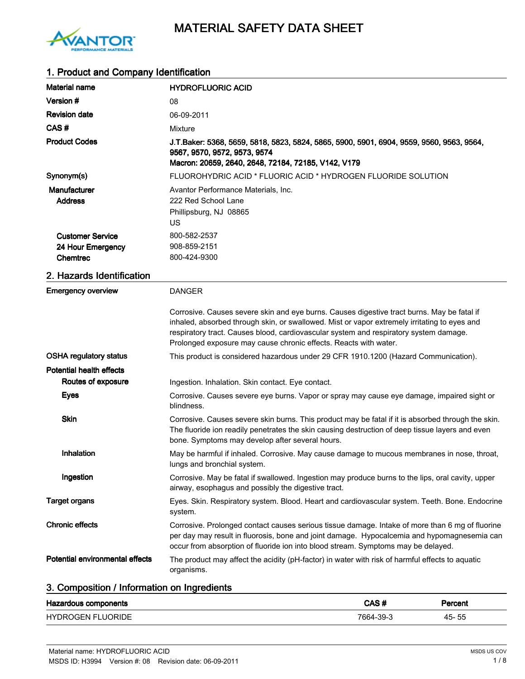

# 1. Product and Company Identification

| <b>Material name</b>                                            | <b>HYDROFLUORIC ACID</b>                                                                                                                                                                                                                                                                                                                                |
|-----------------------------------------------------------------|---------------------------------------------------------------------------------------------------------------------------------------------------------------------------------------------------------------------------------------------------------------------------------------------------------------------------------------------------------|
| Version #                                                       | 08                                                                                                                                                                                                                                                                                                                                                      |
| <b>Revision date</b>                                            | 06-09-2011                                                                                                                                                                                                                                                                                                                                              |
| CAS#                                                            | Mixture                                                                                                                                                                                                                                                                                                                                                 |
| <b>Product Codes</b>                                            | J.T.Baker: 5368, 5659, 5818, 5823, 5824, 5865, 5900, 5901, 6904, 9559, 9560, 9563, 9564,<br>9567, 9570, 9572, 9573, 9574<br>Macron: 20659, 2640, 2648, 72184, 72185, V142, V179                                                                                                                                                                         |
| Synonym(s)                                                      | FLUOROHYDRIC ACID * FLUORIC ACID * HYDROGEN FLUORIDE SOLUTION                                                                                                                                                                                                                                                                                           |
| <b>Manufacturer</b><br><b>Address</b>                           | Avantor Performance Materials, Inc.<br>222 Red School Lane<br>Phillipsburg, NJ 08865<br>US                                                                                                                                                                                                                                                              |
| <b>Customer Service</b><br>24 Hour Emergency<br><b>Chemtrec</b> | 800-582-2537<br>908-859-2151<br>800-424-9300                                                                                                                                                                                                                                                                                                            |
| 2. Hazards Identification                                       |                                                                                                                                                                                                                                                                                                                                                         |
| <b>Emergency overview</b>                                       | <b>DANGER</b>                                                                                                                                                                                                                                                                                                                                           |
|                                                                 | Corrosive. Causes severe skin and eye burns. Causes digestive tract burns. May be fatal if<br>inhaled, absorbed through skin, or swallowed. Mist or vapor extremely irritating to eyes and<br>respiratory tract. Causes blood, cardiovascular system and respiratory system damage.<br>Prolonged exposure may cause chronic effects. Reacts with water. |
| <b>OSHA regulatory status</b>                                   | This product is considered hazardous under 29 CFR 1910.1200 (Hazard Communication).                                                                                                                                                                                                                                                                     |
| <b>Potential health effects</b>                                 |                                                                                                                                                                                                                                                                                                                                                         |
| Routes of exposure                                              | Ingestion. Inhalation. Skin contact. Eye contact.                                                                                                                                                                                                                                                                                                       |
| <b>Eyes</b>                                                     | Corrosive. Causes severe eye burns. Vapor or spray may cause eye damage, impaired sight or<br>blindness.                                                                                                                                                                                                                                                |
| <b>Skin</b>                                                     | Corrosive. Causes severe skin burns. This product may be fatal if it is absorbed through the skin.<br>The fluoride ion readily penetrates the skin causing destruction of deep tissue layers and even<br>bone. Symptoms may develop after several hours.                                                                                                |
| Inhalation                                                      | May be harmful if inhaled. Corrosive. May cause damage to mucous membranes in nose, throat,<br>lungs and bronchial system.                                                                                                                                                                                                                              |
| Ingestion                                                       | Corrosive. May be fatal if swallowed. Ingestion may produce burns to the lips, oral cavity, upper<br>airway, esophagus and possibly the digestive tract.                                                                                                                                                                                                |
| <b>Target organs</b>                                            | Eyes. Skin. Respiratory system. Blood. Heart and cardiovascular system. Teeth. Bone. Endocrine<br>system.                                                                                                                                                                                                                                               |
| <b>Chronic effects</b>                                          | Corrosive. Prolonged contact causes serious tissue damage. Intake of more than 6 mg of fluorine<br>per day may result in fluorosis, bone and joint damage. Hypocalcemia and hypomagnesemia can<br>occur from absorption of fluoride ion into blood stream. Symptoms may be delayed.                                                                     |
| Potential environmental effects                                 | The product may affect the acidity (pH-factor) in water with risk of harmful effects to aquatic<br>organisms.                                                                                                                                                                                                                                           |

# 3. Composition / Information on Ingredients

| Hazardous components     | CAS#      | Percent |  |
|--------------------------|-----------|---------|--|
| <b>HYDROGEN FLUORIDE</b> | 7664-39-3 | 45-55   |  |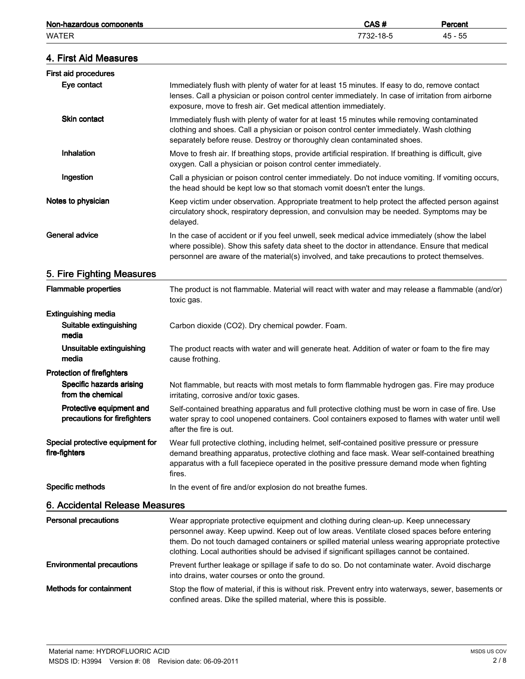| Non-hazardous components                                 |                                                                                                                                                                                                                                                                                                                                                                                       | CAS#      | Percent   |
|----------------------------------------------------------|---------------------------------------------------------------------------------------------------------------------------------------------------------------------------------------------------------------------------------------------------------------------------------------------------------------------------------------------------------------------------------------|-----------|-----------|
| <b>WATER</b>                                             |                                                                                                                                                                                                                                                                                                                                                                                       | 7732-18-5 | $45 - 55$ |
| 4. First Aid Measures                                    |                                                                                                                                                                                                                                                                                                                                                                                       |           |           |
| First aid procedures                                     |                                                                                                                                                                                                                                                                                                                                                                                       |           |           |
| Eye contact                                              | Immediately flush with plenty of water for at least 15 minutes. If easy to do, remove contact<br>lenses. Call a physician or poison control center immediately. In case of irritation from airborne<br>exposure, move to fresh air. Get medical attention immediately.                                                                                                                |           |           |
| Skin contact                                             | Immediately flush with plenty of water for at least 15 minutes while removing contaminated<br>clothing and shoes. Call a physician or poison control center immediately. Wash clothing<br>separately before reuse. Destroy or thoroughly clean contaminated shoes.                                                                                                                    |           |           |
| Inhalation                                               | Move to fresh air. If breathing stops, provide artificial respiration. If breathing is difficult, give<br>oxygen. Call a physician or poison control center immediately.                                                                                                                                                                                                              |           |           |
| Ingestion                                                | Call a physician or poison control center immediately. Do not induce vomiting. If vomiting occurs,<br>the head should be kept low so that stomach vomit doesn't enter the lungs.                                                                                                                                                                                                      |           |           |
| Notes to physician                                       | Keep victim under observation. Appropriate treatment to help protect the affected person against<br>circulatory shock, respiratory depression, and convulsion may be needed. Symptoms may be<br>delayed.                                                                                                                                                                              |           |           |
| General advice                                           | In the case of accident or if you feel unwell, seek medical advice immediately (show the label<br>where possible). Show this safety data sheet to the doctor in attendance. Ensure that medical<br>personnel are aware of the material(s) involved, and take precautions to protect themselves.                                                                                       |           |           |
| 5. Fire Fighting Measures                                |                                                                                                                                                                                                                                                                                                                                                                                       |           |           |
| <b>Flammable properties</b>                              | The product is not flammable. Material will react with water and may release a flammable (and/or)<br>toxic gas.                                                                                                                                                                                                                                                                       |           |           |
| <b>Extinguishing media</b>                               |                                                                                                                                                                                                                                                                                                                                                                                       |           |           |
| Suitable extinguishing<br>media                          | Carbon dioxide (CO2). Dry chemical powder. Foam.                                                                                                                                                                                                                                                                                                                                      |           |           |
| Unsuitable extinguishing<br>media                        | The product reacts with water and will generate heat. Addition of water or foam to the fire may<br>cause frothing.                                                                                                                                                                                                                                                                    |           |           |
| <b>Protection of firefighters</b>                        |                                                                                                                                                                                                                                                                                                                                                                                       |           |           |
| <b>Specific hazards arising</b><br>from the chemical     | Not flammable, but reacts with most metals to form flammable hydrogen gas. Fire may produce<br>irritating, corrosive and/or toxic gases.                                                                                                                                                                                                                                              |           |           |
| Protective equipment and<br>precautions for firefighters | Self-contained breathing apparatus and full protective clothing must be worn in case of fire. Use<br>water spray to cool unopened containers. Cool containers exposed to flames with water until well<br>after the fire is out.                                                                                                                                                       |           |           |
| Special protective equipment for<br>fire-fighters        | Wear full protective clothing, including helmet, self-contained positive pressure or pressure<br>demand breathing apparatus, protective clothing and face mask. Wear self-contained breathing<br>apparatus with a full facepiece operated in the positive pressure demand mode when fighting<br>fires.                                                                                |           |           |
| Specific methods                                         | In the event of fire and/or explosion do not breathe fumes.                                                                                                                                                                                                                                                                                                                           |           |           |
| 6. Accidental Release Measures                           |                                                                                                                                                                                                                                                                                                                                                                                       |           |           |
| <b>Personal precautions</b>                              | Wear appropriate protective equipment and clothing during clean-up. Keep unnecessary<br>personnel away. Keep upwind. Keep out of low areas. Ventilate closed spaces before entering<br>them. Do not touch damaged containers or spilled material unless wearing appropriate protective<br>clothing. Local authorities should be advised if significant spillages cannot be contained. |           |           |
| <b>Environmental precautions</b>                         | Prevent further leakage or spillage if safe to do so. Do not contaminate water. Avoid discharge<br>into drains, water courses or onto the ground.                                                                                                                                                                                                                                     |           |           |
| <b>Methods for containment</b>                           | Stop the flow of material, if this is without risk. Prevent entry into waterways, sewer, basements or<br>confined areas. Dike the spilled material, where this is possible.                                                                                                                                                                                                           |           |           |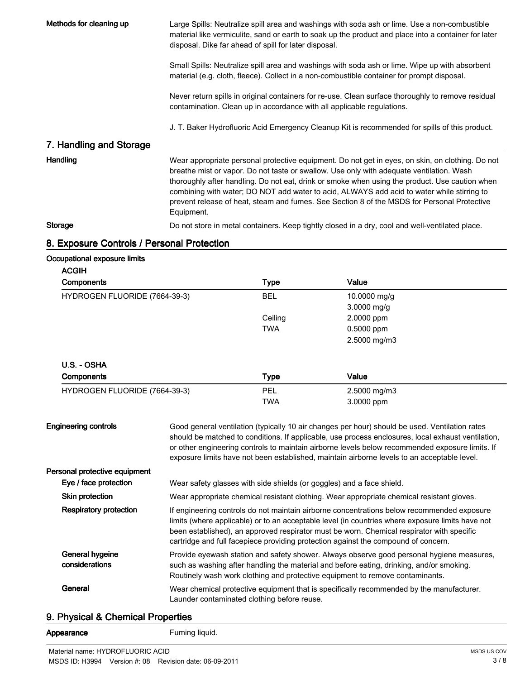Methods for cleaning up **Large Spills: Neutralize spill area and washings with soda ash or lime. Use a non-combustible** material like vermiculite, sand or earth to soak up the product and place into a container for later disposal. Dike far ahead of spill for later disposal.

> Small Spills: Neutralize spill area and washings with soda ash or lime. Wipe up with absorbent material (e.g. cloth, fleece). Collect in a non-combustible container for prompt disposal.

Never return spills in original containers for re-use. Clean surface thoroughly to remove residual contamination. Clean up in accordance with all applicable regulations.

J. T. Baker Hydrofluoric Acid Emergency Cleanup Kit is recommended for spills of this product.

#### 7. Handling and Storage

Handling **Handling** Wear appropriate personal protective equipment. Do not get in eyes, on skin, on clothing. Do not breathe mist or vapor. Do not taste or swallow. Use only with adequate ventilation. Wash thoroughly after handling. Do not eat, drink or smoke when using the product. Use caution when combining with water; DO NOT add water to acid, ALWAYS add acid to water while stirring to prevent release of heat, steam and fumes. See Section 8 of the MSDS for Personal Protective Equipment. Storage **Exercise 3** Do not store in metal containers. Keep tightly closed in a dry, cool and well-ventilated place.

## 8. Exposure Controls / Personal Protection

#### Occupational exposure limits

 $A$ 

| <b>Components</b>             | <b>Type</b> | Value         |  |
|-------------------------------|-------------|---------------|--|
| HYDROGEN FLUORIDE (7664-39-3) | <b>BEL</b>  | 10.0000 mg/g  |  |
|                               |             | $3.0000$ mg/g |  |
|                               | Ceiling     | 2.0000 ppm    |  |
|                               | <b>TWA</b>  | $0.5000$ ppm  |  |
|                               |             | 2.5000 mg/m3  |  |
| U.S. - OSHA                   |             |               |  |
| <b>Components</b>             | <b>Type</b> | Value         |  |
| HYDROGEN FLUORIDE (7664-39-3) | <b>PEL</b>  | 2.5000 mg/m3  |  |
|                               | <b>TWA</b>  | 3.0000 ppm    |  |

| <b>Engineering controls</b>       | Good general ventilation (typically 10 air changes per hour) should be used. Ventilation rates<br>should be matched to conditions. If applicable, use process enclosures, local exhaust ventilation,<br>or other engineering controls to maintain airborne levels below recommended exposure limits. If<br>exposure limits have not been established, maintain airborne levels to an acceptable level. |
|-----------------------------------|--------------------------------------------------------------------------------------------------------------------------------------------------------------------------------------------------------------------------------------------------------------------------------------------------------------------------------------------------------------------------------------------------------|
| Personal protective equipment     |                                                                                                                                                                                                                                                                                                                                                                                                        |
| Eye / face protection             | Wear safety glasses with side shields (or goggles) and a face shield.                                                                                                                                                                                                                                                                                                                                  |
| Skin protection                   | Wear appropriate chemical resistant clothing. Wear appropriate chemical resistant gloves.                                                                                                                                                                                                                                                                                                              |
| <b>Respiratory protection</b>     | If engineering controls do not maintain airborne concentrations below recommended exposure<br>limits (where applicable) or to an acceptable level (in countries where exposure limits have not<br>been established), an approved respirator must be worn. Chemical respirator with specific<br>cartridge and full facepiece providing protection against the compound of concern.                      |
| General hygeine<br>considerations | Provide eyewash station and safety shower. Always observe good personal hygiene measures,<br>such as washing after handling the material and before eating, drinking, and/or smoking.<br>Routinely wash work clothing and protective equipment to remove contaminants.                                                                                                                                 |
| General                           | Wear chemical protective equipment that is specifically recommended by the manufacturer.<br>Launder contaminated clothing before reuse.                                                                                                                                                                                                                                                                |

## 9. Physical & Chemical Properties

Appearance Fuming liquid.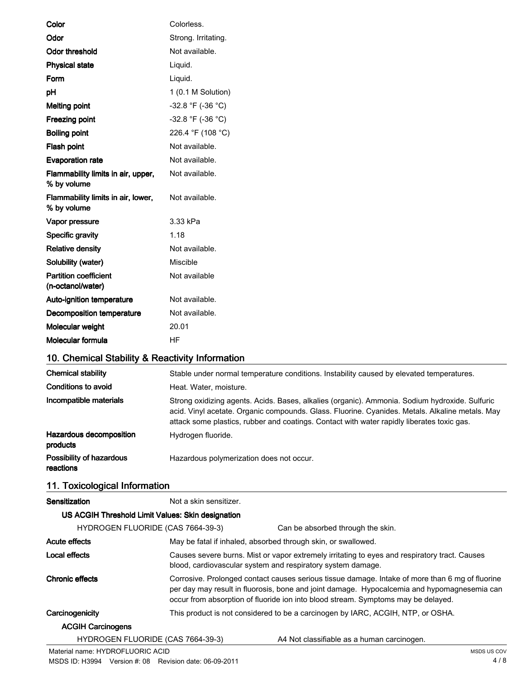| Color                                             | Colorless.          |
|---------------------------------------------------|---------------------|
| Odor                                              | Strong. Irritating. |
| <b>Odor threshold</b>                             | Not available.      |
| <b>Physical state</b>                             | Liquid.             |
| Form                                              | Liquid.             |
| pH                                                | 1 (0.1 M Solution)  |
| <b>Melting point</b>                              | -32.8 °F (-36 °C)   |
| Freezing point                                    | -32.8 °F (-36 °C)   |
| <b>Boiling point</b>                              | 226.4 °F (108 °C)   |
| Flash point                                       | Not available.      |
| <b>Evaporation rate</b>                           | Not available.      |
| Flammability limits in air, upper,<br>% by volume | Not available.      |
| Flammability limits in air, lower,<br>% by volume | Not available.      |
| Vapor pressure                                    | 3.33 kPa            |
| Specific gravity                                  | 1.18                |
| <b>Relative density</b>                           | Not available.      |
| Solubility (water)                                | Miscible            |
| <b>Partition coefficient</b><br>(n-octanol/water) | Not available       |
| Auto-ignition temperature                         | Not available.      |
| <b>Decomposition temperature</b>                  | Not available.      |
| Molecular weight                                  | 20.01               |
| Molecular formula                                 | <b>HF</b>           |
| 10. Chemical Stability & Reactivity Information   |                     |

| <b>Chemical stability</b>             | Stable under normal temperature conditions. Instability caused by elevated temperatures.                                                                                                                                                                                                        |
|---------------------------------------|-------------------------------------------------------------------------------------------------------------------------------------------------------------------------------------------------------------------------------------------------------------------------------------------------|
| Conditions to avoid                   | Heat. Water, moisture.                                                                                                                                                                                                                                                                          |
| Incompatible materials                | Strong oxidizing agents. Acids. Bases, alkalies (organic). Ammonia. Sodium hydroxide. Sulfuric<br>acid. Vinyl acetate. Organic compounds. Glass. Fluorine. Cyanides. Metals. Alkaline metals. May<br>attack some plastics, rubber and coatings. Contact with water rapidly liberates toxic gas. |
| Hazardous decomposition<br>products   | Hydrogen fluoride.                                                                                                                                                                                                                                                                              |
| Possibility of hazardous<br>reactions | Hazardous polymerization does not occur.                                                                                                                                                                                                                                                        |

# 11. Toxicological Information

| Sensitization                                     | Not a skin sensitizer. |                                                                                                                                                                                                                                                                                     |
|---------------------------------------------------|------------------------|-------------------------------------------------------------------------------------------------------------------------------------------------------------------------------------------------------------------------------------------------------------------------------------|
| US ACGIH Threshold Limit Values: Skin designation |                        |                                                                                                                                                                                                                                                                                     |
| HYDROGEN FLUORIDE (CAS 7664-39-3)                 |                        | Can be absorbed through the skin.                                                                                                                                                                                                                                                   |
| Acute effects                                     |                        | May be fatal if inhaled, absorbed through skin, or swallowed.                                                                                                                                                                                                                       |
| Local effects                                     |                        | Causes severe burns. Mist or vapor extremely irritating to eyes and respiratory tract. Causes<br>blood, cardiovascular system and respiratory system damage.                                                                                                                        |
| <b>Chronic effects</b>                            |                        | Corrosive. Prolonged contact causes serious tissue damage. Intake of more than 6 mg of fluorine<br>per day may result in fluorosis, bone and joint damage. Hypocalcemia and hypomagnesemia can<br>occur from absorption of fluoride ion into blood stream. Symptoms may be delayed. |
| Carcinogenicity                                   |                        | This product is not considered to be a carcinogen by IARC, ACGIH, NTP, or OSHA.                                                                                                                                                                                                     |
| <b>ACGIH Carcinogens</b>                          |                        |                                                                                                                                                                                                                                                                                     |
| HYDROGEN FLUORIDE (CAS 7664-39-3)                 |                        | A4 Not classifiable as a human carcinogen.                                                                                                                                                                                                                                          |
| Material name: HYDROFLUORIC ACID                  |                        | <b>MSDS US COV</b>                                                                                                                                                                                                                                                                  |

MSDS ID: H3994 Version #: 08 Revision date: 06-09-2011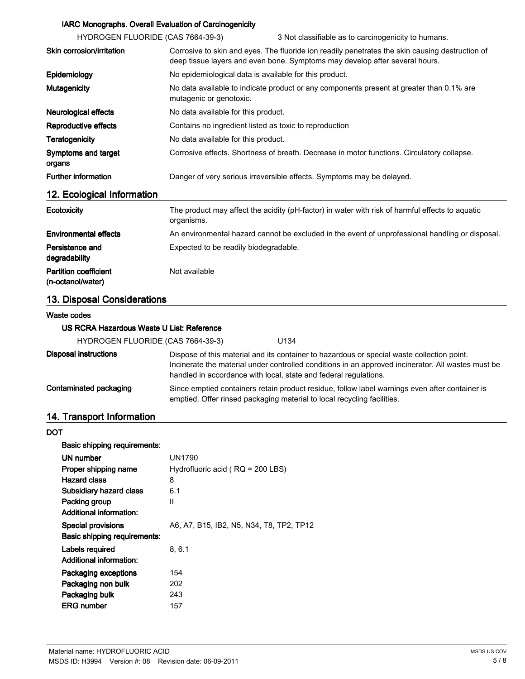## IARC Monographs. Overall Evaluation of Carcinogenicity

| HYDROGEN FLUORIDE (CAS 7664-39-3) |                                                        | 3 Not classifiable as to carcinogenicity to humans.                                                                                                                            |
|-----------------------------------|--------------------------------------------------------|--------------------------------------------------------------------------------------------------------------------------------------------------------------------------------|
| Skin corrosion/irritation         |                                                        | Corrosive to skin and eyes. The fluoride ion readily penetrates the skin causing destruction of<br>deep tissue layers and even bone. Symptoms may develop after several hours. |
| Epidemiology                      | No epidemiological data is available for this product. |                                                                                                                                                                                |
| <b>Mutagenicity</b>               | mutagenic or genotoxic.                                | No data available to indicate product or any components present at greater than 0.1% are                                                                                       |
| <b>Neurological effects</b>       | No data available for this product.                    |                                                                                                                                                                                |
| Reproductive effects              | Contains no ingredient listed as toxic to reproduction |                                                                                                                                                                                |
| <b>Teratogenicity</b>             | No data available for this product.                    |                                                                                                                                                                                |
| Symptoms and target<br>organs     |                                                        | Corrosive effects. Shortness of breath. Decrease in motor functions. Circulatory collapse.                                                                                     |
| <b>Further information</b>        |                                                        | Danger of very serious irreversible effects. Symptoms may be delayed.                                                                                                          |
| 12. Ecological Information        |                                                        |                                                                                                                                                                                |
| <b>Ecotoxicity</b>                |                                                        | The product may affect the acidity (pH-factor) in water with risk of harmful effects to aquatic                                                                                |

|                                                   | organisms.                                                                                      |
|---------------------------------------------------|-------------------------------------------------------------------------------------------------|
| <b>Environmental effects</b>                      | An environmental hazard cannot be excluded in the event of unprofessional handling or disposal. |
| Persistence and<br>degradability                  | Expected to be readily biodegradable.                                                           |
| <b>Partition coefficient</b><br>(n-octanol/water) | Not available                                                                                   |

# 13. Disposal Considerations

#### Waste codes

### US RCRA Hazardous Waste U List: Reference

| HYDROGEN FLUORIDE (CAS 7664-39-3) | U134 |
|-----------------------------------|------|
|-----------------------------------|------|

| Disposal instructions  | Dispose of this material and its container to hazardous or special waste collection point.<br>Incinerate the material under controlled conditions in an approved incinerator. All wastes must be<br>handled in accordance with local, state and federal regulations. |
|------------------------|----------------------------------------------------------------------------------------------------------------------------------------------------------------------------------------------------------------------------------------------------------------------|
| Contaminated packaging | Since emptied containers retain product residue, follow label warnings even after container is<br>emptied. Offer rinsed packaging material to local recycling facilities.                                                                                            |

# 14. Transport Information

#### **DOT**

| Basic shipping requirements:   |                                          |
|--------------------------------|------------------------------------------|
| UN number                      | <b>UN1790</b>                            |
| Proper shipping name           | Hydrofluoric acid ( $RQ = 200$ LBS)      |
| <b>Hazard class</b>            | 8                                        |
| <b>Subsidiary hazard class</b> | 6.1                                      |
| Packing group                  | Ш                                        |
| <b>Additional information:</b> |                                          |
| <b>Special provisions</b>      | A6, A7, B15, IB2, N5, N34, T8, TP2, TP12 |
| Basic shipping requirements:   |                                          |
| Labels required                | 8.6.1                                    |
| <b>Additional information:</b> |                                          |
| Packaging exceptions           | 154                                      |
| Packaging non bulk             | 202                                      |
| Packaging bulk                 | 243                                      |
| <b>ERG</b> number              | 157                                      |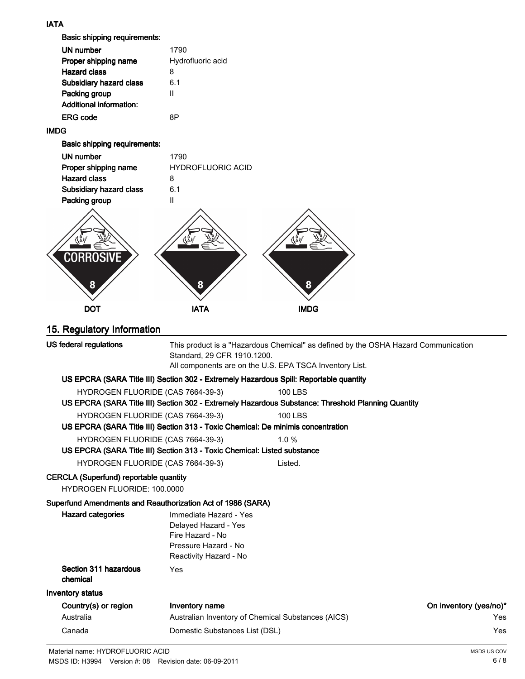## IATA

Basic shipping requirements:

| UN number<br>Proper shipping name<br>Hazard class<br><b>Subsidiary hazard class</b><br>Packing group | 1790<br>Hydrofluoric acid<br>8<br>6.1<br>Ш |
|------------------------------------------------------------------------------------------------------|--------------------------------------------|
| Additional information:                                                                              |                                            |
| <b>FRG</b> code                                                                                      | яP                                         |
|                                                                                                      |                                            |

## IMDG

Basic shipping requirements:

| UN number               | 1790                     |
|-------------------------|--------------------------|
| Proper shipping name    | <b>HYDROFLUORIC ACID</b> |
| <b>Hazard class</b>     | R                        |
| Subsidiary hazard class | 6.1                      |
| Packing group           |                          |
|                         |                          |



# 15. Regulatory Information

| US federal regulations                                                              | This product is a "Hazardous Chemical" as defined by the OSHA Hazard Communication<br>Standard, 29 CFR 1910.1200.<br>All components are on the U.S. EPA TSCA Inventory List. |                                                                                                    |                        |  |
|-------------------------------------------------------------------------------------|------------------------------------------------------------------------------------------------------------------------------------------------------------------------------|----------------------------------------------------------------------------------------------------|------------------------|--|
|                                                                                     | US EPCRA (SARA Title III) Section 302 - Extremely Hazardous Spill: Reportable quantity                                                                                       |                                                                                                    |                        |  |
| HYDROGEN FLUORIDE (CAS 7664-39-3)                                                   |                                                                                                                                                                              | <b>100 LBS</b>                                                                                     |                        |  |
|                                                                                     |                                                                                                                                                                              | US EPCRA (SARA Title III) Section 302 - Extremely Hazardous Substance: Threshold Planning Quantity |                        |  |
| HYDROGEN FLUORIDE (CAS 7664-39-3)                                                   |                                                                                                                                                                              | <b>100 LBS</b>                                                                                     |                        |  |
|                                                                                     | US EPCRA (SARA Title III) Section 313 - Toxic Chemical: De minimis concentration                                                                                             |                                                                                                    |                        |  |
| HYDROGEN FLUORIDE (CAS 7664-39-3)                                                   |                                                                                                                                                                              | $1.0 \%$                                                                                           |                        |  |
|                                                                                     | US EPCRA (SARA Title III) Section 313 - Toxic Chemical: Listed substance                                                                                                     |                                                                                                    |                        |  |
| HYDROGEN FLUORIDE (CAS 7664-39-3)                                                   |                                                                                                                                                                              | Listed.                                                                                            |                        |  |
| <b>CERCLA (Superfund) reportable quantity</b><br><b>HYDROGEN FLUORIDE: 100.0000</b> |                                                                                                                                                                              |                                                                                                    |                        |  |
| Superfund Amendments and Reauthorization Act of 1986 (SARA)                         |                                                                                                                                                                              |                                                                                                    |                        |  |
| <b>Hazard categories</b>                                                            | Immediate Hazard - Yes<br>Delayed Hazard - Yes<br>Fire Hazard - No<br>Pressure Hazard - No<br>Reactivity Hazard - No                                                         |                                                                                                    |                        |  |
| Section 311 hazardous<br>chemical                                                   | Yes                                                                                                                                                                          |                                                                                                    |                        |  |
| Inventory status                                                                    |                                                                                                                                                                              |                                                                                                    |                        |  |
| Country(s) or region                                                                | Inventory name                                                                                                                                                               |                                                                                                    | On inventory (yes/no)* |  |
| Australia                                                                           | Australian Inventory of Chemical Substances (AICS)                                                                                                                           |                                                                                                    | Yes                    |  |
| Canada                                                                              | Domestic Substances List (DSL)                                                                                                                                               |                                                                                                    | Yes                    |  |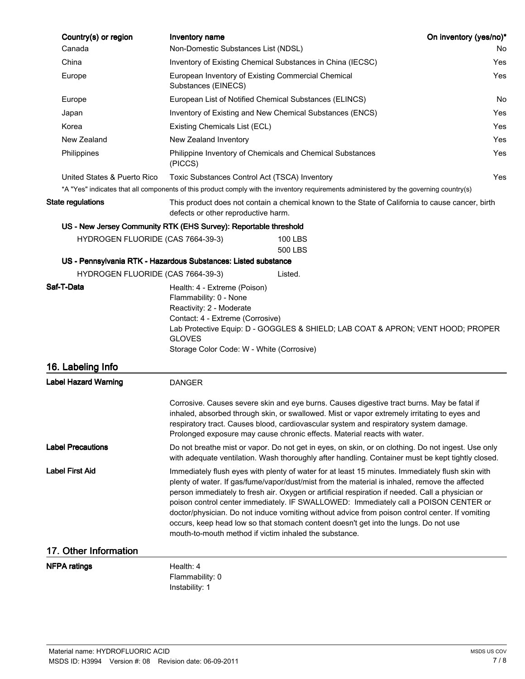| Country(s) or region                                             | Inventory name                                                                                                                                                                                                                                                                                                                                                                                                                                                                                                                                                                                                                                      |                                                                                                                                                                                                                                                                                                                                                                  | On inventory (yes/no)* |  |
|------------------------------------------------------------------|-----------------------------------------------------------------------------------------------------------------------------------------------------------------------------------------------------------------------------------------------------------------------------------------------------------------------------------------------------------------------------------------------------------------------------------------------------------------------------------------------------------------------------------------------------------------------------------------------------------------------------------------------------|------------------------------------------------------------------------------------------------------------------------------------------------------------------------------------------------------------------------------------------------------------------------------------------------------------------------------------------------------------------|------------------------|--|
| Canada                                                           | Non-Domestic Substances List (NDSL)                                                                                                                                                                                                                                                                                                                                                                                                                                                                                                                                                                                                                 |                                                                                                                                                                                                                                                                                                                                                                  | No                     |  |
| China                                                            |                                                                                                                                                                                                                                                                                                                                                                                                                                                                                                                                                                                                                                                     | Inventory of Existing Chemical Substances in China (IECSC)                                                                                                                                                                                                                                                                                                       |                        |  |
| Europe                                                           | European Inventory of Existing Commercial Chemical<br>Yes<br>Substances (EINECS)                                                                                                                                                                                                                                                                                                                                                                                                                                                                                                                                                                    |                                                                                                                                                                                                                                                                                                                                                                  |                        |  |
| Europe                                                           |                                                                                                                                                                                                                                                                                                                                                                                                                                                                                                                                                                                                                                                     | European List of Notified Chemical Substances (ELINCS)<br>No                                                                                                                                                                                                                                                                                                     |                        |  |
| Japan                                                            |                                                                                                                                                                                                                                                                                                                                                                                                                                                                                                                                                                                                                                                     | Inventory of Existing and New Chemical Substances (ENCS)                                                                                                                                                                                                                                                                                                         | Yes                    |  |
| Korea                                                            | Existing Chemicals List (ECL)                                                                                                                                                                                                                                                                                                                                                                                                                                                                                                                                                                                                                       |                                                                                                                                                                                                                                                                                                                                                                  | Yes                    |  |
| New Zealand                                                      | New Zealand Inventory                                                                                                                                                                                                                                                                                                                                                                                                                                                                                                                                                                                                                               | Yes                                                                                                                                                                                                                                                                                                                                                              |                        |  |
| Philippines                                                      | (PICCS)                                                                                                                                                                                                                                                                                                                                                                                                                                                                                                                                                                                                                                             | Philippine Inventory of Chemicals and Chemical Substances<br>Yes                                                                                                                                                                                                                                                                                                 |                        |  |
| United States & Puerto Rico                                      |                                                                                                                                                                                                                                                                                                                                                                                                                                                                                                                                                                                                                                                     | Toxic Substances Control Act (TSCA) Inventory                                                                                                                                                                                                                                                                                                                    | Yes                    |  |
|                                                                  |                                                                                                                                                                                                                                                                                                                                                                                                                                                                                                                                                                                                                                                     | *A "Yes" indicates that all components of this product comply with the inventory requirements administered by the governing country(s)                                                                                                                                                                                                                           |                        |  |
| <b>State regulations</b>                                         |                                                                                                                                                                                                                                                                                                                                                                                                                                                                                                                                                                                                                                                     | This product does not contain a chemical known to the State of California to cause cancer, birth<br>defects or other reproductive harm.                                                                                                                                                                                                                          |                        |  |
| US - New Jersey Community RTK (EHS Survey): Reportable threshold |                                                                                                                                                                                                                                                                                                                                                                                                                                                                                                                                                                                                                                                     |                                                                                                                                                                                                                                                                                                                                                                  |                        |  |
| HYDROGEN FLUORIDE (CAS 7664-39-3)                                |                                                                                                                                                                                                                                                                                                                                                                                                                                                                                                                                                                                                                                                     | <b>100 LBS</b><br>500 LBS                                                                                                                                                                                                                                                                                                                                        |                        |  |
| US - Pennsylvania RTK - Hazardous Substances: Listed substance   |                                                                                                                                                                                                                                                                                                                                                                                                                                                                                                                                                                                                                                                     |                                                                                                                                                                                                                                                                                                                                                                  |                        |  |
| HYDROGEN FLUORIDE (CAS 7664-39-3)<br>Saf-T-Data                  |                                                                                                                                                                                                                                                                                                                                                                                                                                                                                                                                                                                                                                                     | Listed.                                                                                                                                                                                                                                                                                                                                                          |                        |  |
|                                                                  | Flammability: 0 - None<br>Reactivity: 2 - Moderate<br>Contact: 4 - Extreme (Corrosive)<br><b>GLOVES</b><br>Storage Color Code: W - White (Corrosive)                                                                                                                                                                                                                                                                                                                                                                                                                                                                                                | Lab Protective Equip: D - GOGGLES & SHIELD; LAB COAT & APRON; VENT HOOD; PROPER                                                                                                                                                                                                                                                                                  |                        |  |
| 16. Labeling Info                                                |                                                                                                                                                                                                                                                                                                                                                                                                                                                                                                                                                                                                                                                     |                                                                                                                                                                                                                                                                                                                                                                  |                        |  |
| <b>Label Hazard Warning</b>                                      | <b>DANGER</b>                                                                                                                                                                                                                                                                                                                                                                                                                                                                                                                                                                                                                                       |                                                                                                                                                                                                                                                                                                                                                                  |                        |  |
|                                                                  |                                                                                                                                                                                                                                                                                                                                                                                                                                                                                                                                                                                                                                                     | Corrosive. Causes severe skin and eye burns. Causes digestive tract burns. May be fatal if<br>inhaled, absorbed through skin, or swallowed. Mist or vapor extremely irritating to eyes and<br>respiratory tract. Causes blood, cardiovascular system and respiratory system damage.<br>Prolonged exposure may cause chronic effects. Material reacts with water. |                        |  |
| <b>Label Precautions</b>                                         | Do not breathe mist or vapor. Do not get in eyes, on skin, or on clothing. Do not ingest. Use only<br>with adequate ventilation. Wash thoroughly after handling. Container must be kept tightly closed.                                                                                                                                                                                                                                                                                                                                                                                                                                             |                                                                                                                                                                                                                                                                                                                                                                  |                        |  |
| <b>Label First Aid</b>                                           | Immediately flush eyes with plenty of water for at least 15 minutes. Immediately flush skin with<br>plenty of water. If gas/fume/vapor/dust/mist from the material is inhaled, remove the affected<br>person immediately to fresh air. Oxygen or artificial respiration if needed. Call a physician or<br>poison control center immediately. IF SWALLOWED: Immediately call a POISON CENTER or<br>doctor/physician. Do not induce vomiting without advice from poison control center. If vomiting<br>occurs, keep head low so that stomach content doesn't get into the lungs. Do not use<br>mouth-to-mouth method if victim inhaled the substance. |                                                                                                                                                                                                                                                                                                                                                                  |                        |  |
| 17. Other Information                                            |                                                                                                                                                                                                                                                                                                                                                                                                                                                                                                                                                                                                                                                     |                                                                                                                                                                                                                                                                                                                                                                  |                        |  |
| <b>NFPA ratings</b>                                              | Health: 4<br>Flammability: 0<br>Instability: 1                                                                                                                                                                                                                                                                                                                                                                                                                                                                                                                                                                                                      |                                                                                                                                                                                                                                                                                                                                                                  |                        |  |